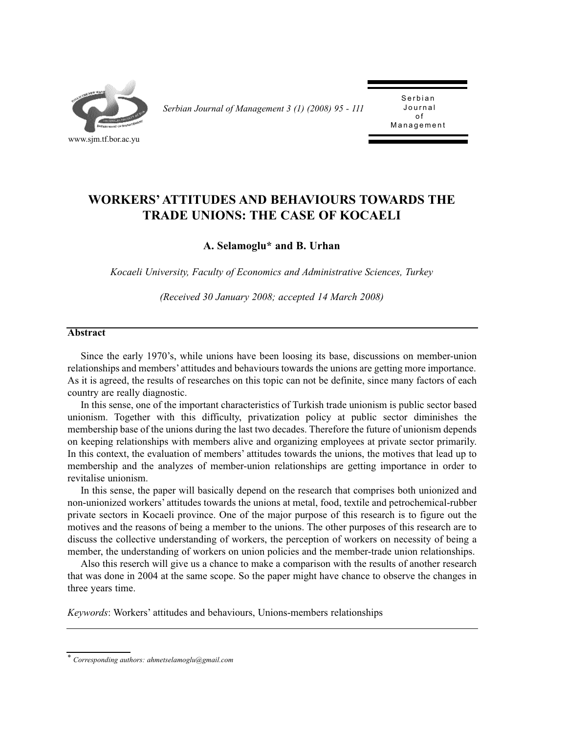

*Serbian Journal of Management 3 (1) (2008) 95 - 111* 

Serbian Journal  $\Omega$ Management Management

# **WORKERS' ATTITUDES AND BEHAVIOURS TOWARDS THE TRADE UNIONS: THE CASE OF KOCAELI**

**A. Selamoglu\* and B. Urhan**

*Kocaeli University, Faculty of Economics and Administrative Sciences, Turkey*

*(Received 30 January 2008; accepted 14 March 2008)*

#### **Abstract**

Since the early 1970's, while unions have been loosing its base, discussions on member-union relationships and members' attitudes and behaviours towards the unions are getting more importance. As it is agreed, the results of researches on this topic can not be definite, since many factors of each country are really diagnostic.

In this sense, one of the important characteristics of Turkish trade unionism is public sector based unionism. Together with this difficulty, privatization policy at public sector diminishes the membership base of the unions during the last two decades. Therefore the future of unionism depends on keeping relationships with members alive and organizing employees at private sector primarily. In this context, the evaluation of members' attitudes towards the unions, the motives that lead up to membership and the analyzes of member-union relationships are getting importance in order to revitalise unionism.

In this sense, the paper will basically depend on the research that comprises both unionized and non-unionized workers' attitudes towards the unions at metal, food, textile and petrochemical-rubber private sectors in Kocaeli province. One of the major purpose of this research is to figure out the motives and the reasons of being a member to the unions. The other purposes of this research are to discuss the collective understanding of workers, the perception of workers on necessity of being a member, the understanding of workers on union policies and the member-trade union relationships.

Also this reserch will give us a chance to make a comparison with the results of another research that was done in 2004 at the same scope. So the paper might have chance to observe the changes in three years time.

*Keywords*: Workers' attitudes and behaviours, Unions-members relationships

*<sup>\*</sup> Corresponding authors: ahmetselamoglu@gmail.com*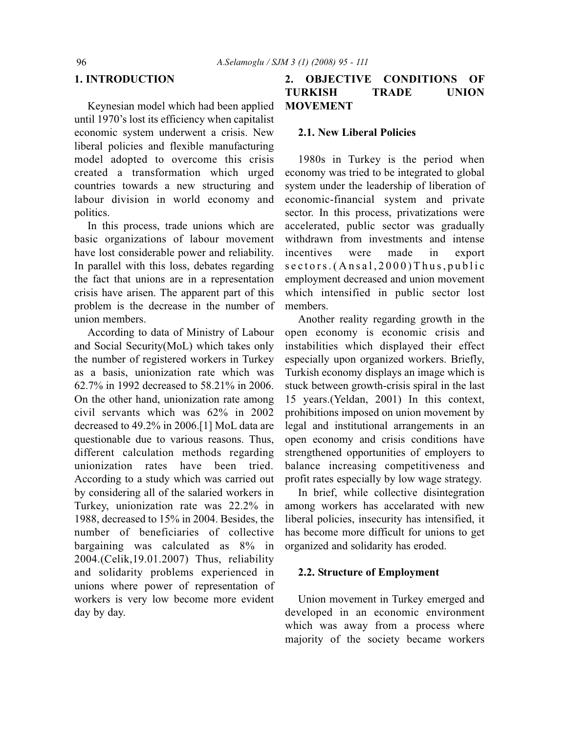### **1. INTRODUCTION**

Keynesian model which had been applied until 1970's lost its efficiency when capitalist economic system underwent a crisis. New liberal policies and flexible manufacturing model adopted to overcome this crisis created a transformation which urged countries towards a new structuring and labour division in world economy and politics.

In this process, trade unions which are basic organizations of labour movement have lost considerable power and reliability. In parallel with this loss, debates regarding the fact that unions are in a representation crisis have arisen. The apparent part of this problem is the decrease in the number of union members.

According to data of Ministry of Labour and Social Security(MoL) which takes only the number of registered workers in Turkey as a basis, unionization rate which was 62.7% in 1992 decreased to 58.21% in 2006. On the other hand, unionization rate among civil servants which was 62% in 2002 decreased to 49.2% in 2006.[1] MoL data are questionable due to various reasons. Thus, different calculation methods regarding unionization rates have been tried. According to a study which was carried out by considering all of the salaried workers in Turkey, unionization rate was 22.2% in 1988, decreased to 15% in 2004. Besides, the number of beneficiaries of collective bargaining was calculated as 8% in 2004.(Celik,19.01.2007) Thus, reliability and solidarity problems experienced in unions where power of representation of workers is very low become more evident day by day.

# **2. OBJECTIVE CONDITIONS OF TURKISH TRADE UNION MOVEMENT**

#### **2.1. New Liberal Policies**

1980s in Turkey is the period when economy was tried to be integrated to global system under the leadership of liberation of economic-financial system and private sector. In this process, privatizations were accelerated, public sector was gradually withdrawn from investments and intense incentives were made in export sectors.(Ansal,2000)Thus,public employment decreased and union movement which intensified in public sector lost members.

Another reality regarding growth in the open economy is economic crisis and instabilities which displayed their effect especially upon organized workers. Briefly, Turkish economy displays an image which is stuck between growth-crisis spiral in the last 15 years.(Yeldan, 2001) In this context, prohibitions imposed on union movement by legal and institutional arrangements in an open economy and crisis conditions have strengthened opportunities of employers to balance increasing competitiveness and profit rates especially by low wage strategy.

In brief, while collective disintegration among workers has accelarated with new liberal policies, insecurity has intensified, it has become more difficult for unions to get organized and solidarity has eroded.

#### **2.2. Structure of Employment**

Union movement in Turkey emerged and developed in an economic environment which was away from a process where majority of the society became workers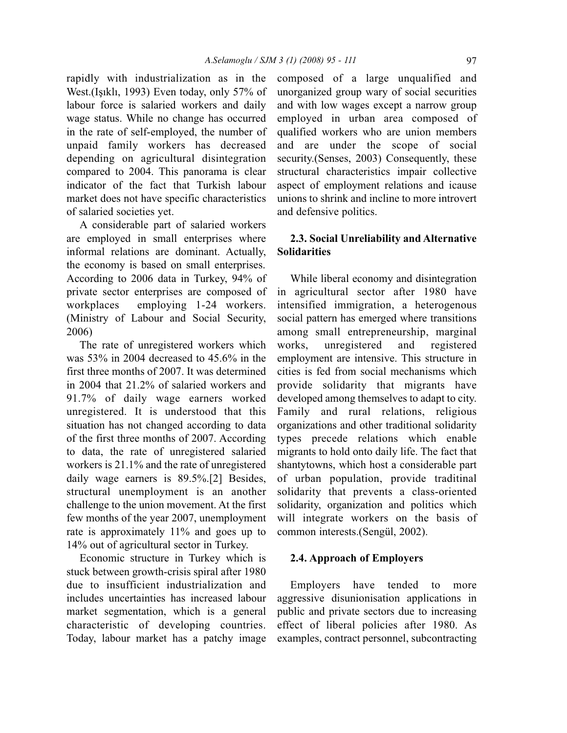rapidly with industrialization as in the West.(Işıklı, 1993) Even today, only 57% of labour force is salaried workers and daily wage status. While no change has occurred in the rate of self-employed, the number of unpaid family workers has decreased depending on agricultural disintegration compared to 2004. This panorama is clear indicator of the fact that Turkish labour market does not have specific characteristics of salaried societies yet.

A considerable part of salaried workers are employed in small enterprises where informal relations are dominant. Actually, the economy is based on small enterprises. According to 2006 data in Turkey, 94% of private sector enterprises are composed of workplaces employing 1-24 workers. (Ministry of Labour and Social Security, 2006)

The rate of unregistered workers which was 53% in 2004 decreased to 45.6% in the first three months of 2007. It was determined in 2004 that 21.2% of salaried workers and 91.7% of daily wage earners worked unregistered. It is understood that this situation has not changed according to data of the first three months of 2007. According to data, the rate of unregistered salaried workers is 21.1% and the rate of unregistered daily wage earners is 89.5%.[2] Besides, structural unemployment is an another challenge to the union movement. At the first few months of the year 2007, unemployment rate is approximately 11% and goes up to 14% out of agricultural sector in Turkey.

Economic structure in Turkey which is stuck between growth-crisis spiral after 1980 due to insufficient industrialization and includes uncertainties has increased labour market segmentation, which is a general characteristic of developing countries. Today, labour market has a patchy image composed of a large unqualified and unorganized group wary of social securities and with low wages except a narrow group employed in urban area composed of qualified workers who are union members and are under the scope of social security. (Senses, 2003) Consequently, these structural characteristics impair collective aspect of employment relations and icause unions to shrink and incline to more introvert and defensive politics.

### **2.3. Social Unreliability and Alternative Solidarities**

While liberal economy and disintegration in agricultural sector after 1980 have intensified immigration, a heterogenous social pattern has emerged where transitions among small entrepreneurship, marginal works, unregistered and registered employment are intensive. This structure in cities is fed from social mechanisms which provide solidarity that migrants have developed among themselves to adapt to city. Family and rural relations, religious organizations and other traditional solidarity types precede relations which enable migrants to hold onto daily life. The fact that shantytowns, which host a considerable part of urban population, provide traditinal solidarity that prevents a class-oriented solidarity, organization and politics which will integrate workers on the basis of common interests.(Sengül, 2002).

#### **2.4. Approach of Employers**

Employers have tended to more aggressive disunionisation applications in public and private sectors due to increasing effect of liberal policies after 1980. As examples, contract personnel, subcontracting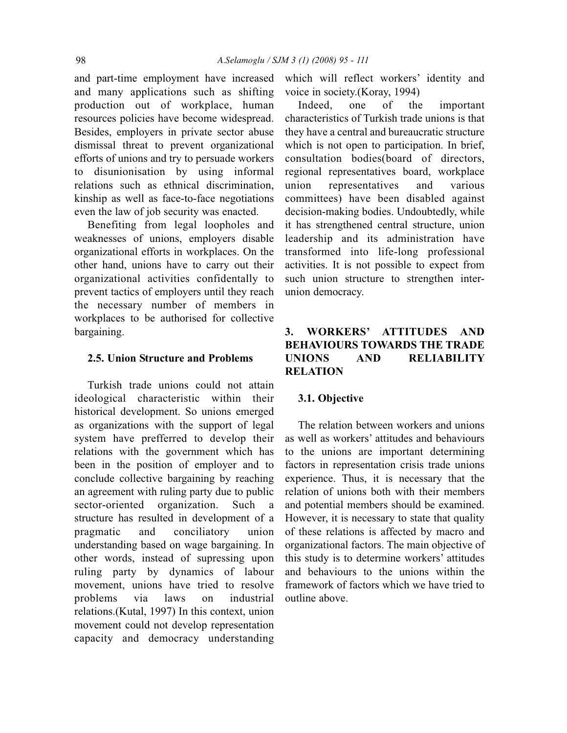and part-time employment have increased and many applications such as shifting production out of workplace, human resources policies have become widespread. Besides, employers in private sector abuse dismissal threat to prevent organizational efforts of unions and try to persuade workers to disunionisation by using informal relations such as ethnical discrimination, kinship as well as face-to-face negotiations even the law of job security was enacted.

Benefiting from legal loopholes and weaknesses of unions, employers disable organizational efforts in workplaces. On the other hand, unions have to carry out their organizational activities confidentally to prevent tactics of employers until they reach the necessary number of members in workplaces to be authorised for collective bargaining.

### **2.5. Union Structure and Problems**

Turkish trade unions could not attain ideological characteristic within their historical development. So unions emerged as organizations with the support of legal system have prefferred to develop their relations with the government which has been in the position of employer and to conclude collective bargaining by reaching an agreement with ruling party due to public sector-oriented organization. Such a structure has resulted in development of a pragmatic and conciliatory union understanding based on wage bargaining. In other words, instead of supressing upon ruling party by dynamics of labour movement, unions have tried to resolve problems via laws on industrial relations.(Kutal, 1997) In this context, union movement could not develop representation capacity and democracy understanding

which will reflect workers' identity and voice in society.(Koray, 1994)

Indeed, one of the important characteristics of Turkish trade unions is that they have a central and bureaucratic structure which is not open to participation. In brief, consultation bodies(board of directors, regional representatives board, workplace union representatives and various committees) have been disabled against decision-making bodies. Undoubtedly, while it has strengthened central structure, union leadership and its administration have transformed into life-long professional activities. It is not possible to expect from such union structure to strengthen interunion democracy.

# **3. WORKERS' ATTITUDES AND BEHAVIOURS TOWARDS THE TRADE UNIONS AND RELIABILITY RELATION**

#### **3.1. Objective**

The relation between workers and unions as well as workers' attitudes and behaviours to the unions are important determining factors in representation crisis trade unions experience. Thus, it is necessary that the relation of unions both with their members and potential members should be examined. However, it is necessary to state that quality of these relations is affected by macro and organizational factors. The main objective of this study is to determine workers' attitudes and behaviours to the unions within the framework of factors which we have tried to outline above.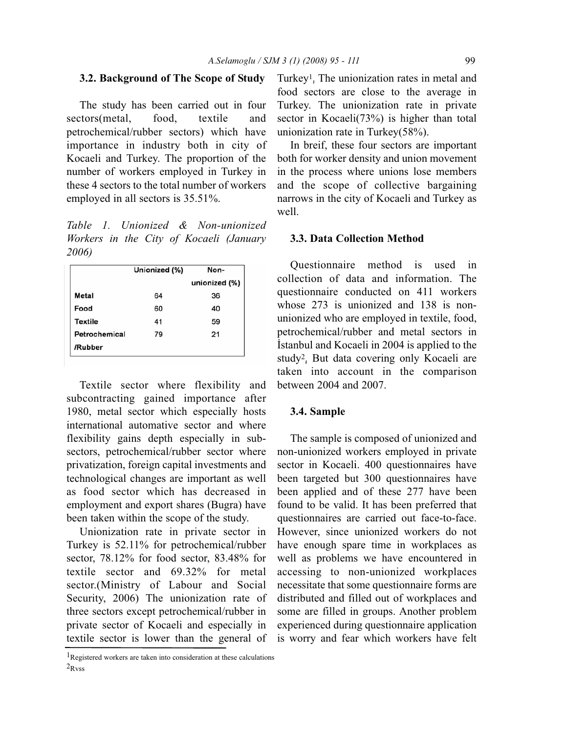#### **3.2. Background of The Scope of Study**

The study has been carried out in four sectors(metal, food, textile and petrochemical/rubber sectors) which have importance in industry both in city of Kocaeli and Turkey. The proportion of the number of workers employed in Turkey in these 4 sectors to the total number of workers employed in all sectors is 35.51%.

*Table 1. Unionized & Non-unionized Workers in the City of Kocaeli (January 2006)*

|               | Unionized (%) | Non-          |
|---------------|---------------|---------------|
|               |               | unionized (%) |
| Metal         | 64            | 36            |
| Food          | 60            | 40            |
| Textile       | 41            | 59            |
| Petrochemical | 79            | 21            |
| /Rubber       |               |               |

Textile sector where flexibility and subcontracting gained importance after 1980, metal sector which especially hosts international automative sector and where flexibility gains depth especially in subsectors, petrochemical/rubber sector where privatization, foreign capital investments and technological changes are important as well as food sector which has decreased in employment and export shares (Bugra) have been taken within the scope of the study.

Unionization rate in private sector in Turkey is 52.11% for petrochemical/rubber sector, 78.12% for food sector, 83.48% for textile sector and 69.32% for metal sector.(Ministry of Labour and Social Security, 2006) The unionization rate of three sectors except petrochemical/rubber in private sector of Kocaeli and especially in textile sector is lower than the general of Turkey1. The unionization rates in metal and food sectors are close to the average in Turkey. The unionization rate in private sector in Kocaeli(73%) is higher than total unionization rate in Turkey(58%).

In breif, these four sectors are important both for worker density and union movement in the process where unions lose members and the scope of collective bargaining narrows in the city of Kocaeli and Turkey as well.

#### **3.3. Data Collection Method**

Questionnaire method is used in collection of data and information. The questionnaire conducted on 411 workers whose 273 is unionized and 138 is nonunionized who are employed in textile, food, petrochemical/rubber and metal sectors in İstanbul and Kocaeli in 2004 is applied to the study2. But data covering only Kocaeli are taken into account in the comparison between 2004 and 2007.

### **3.4. Sample**

The sample is composed of unionized and non-unionized workers employed in private sector in Kocaeli. 400 questionnaires have been targeted but 300 questionnaires have been applied and of these 277 have been found to be valid. It has been preferred that questionnaires are carried out face-to-face. However, since unionized workers do not have enough spare time in workplaces as well as problems we have encountered in accessing to non-unionized workplaces necessitate that some questionnaire forms are distributed and filled out of workplaces and some are filled in groups. Another problem experienced during questionnaire application is worry and fear which workers have felt

<sup>1</sup>Registered workers are taken into consideration at these calculations  $2_{\rm Rvss}$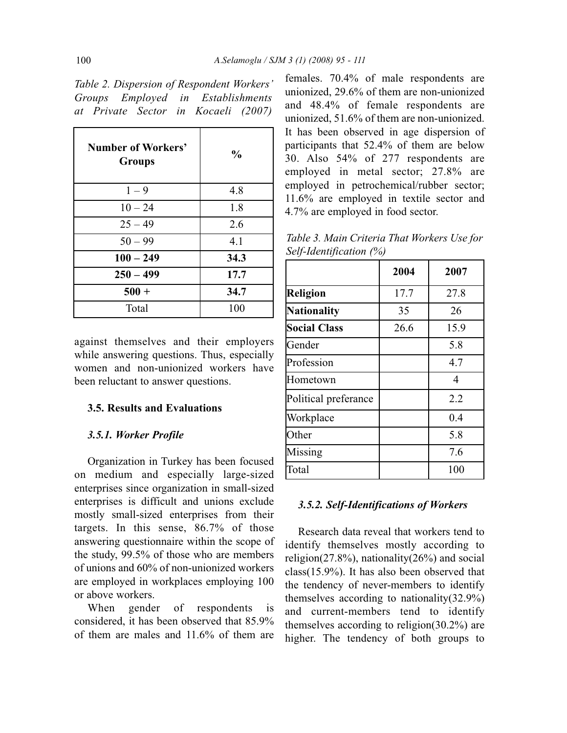*Table 2. Dispersion of Respondent Workers' Groups Employed in Establishments at Private Sector in Kocaeli (2007)*

| <b>Number of Workers'</b><br><b>Groups</b> | $\frac{0}{0}$ |
|--------------------------------------------|---------------|
| $1 - 9$                                    | 4.8           |
| $10 - 24$                                  | 1.8           |
| $25 - 49$                                  | 2.6           |
| $50 - 99$                                  | 4.1           |
| $100 - 249$                                | 34.3          |
| $250 - 499$                                | 17.7          |
| $500 +$                                    | 34.7          |
| Total                                      | 100           |

against themselves and their employers while answering questions. Thus, especially women and non-unionized workers have been reluctant to answer questions.

#### **3.5. Results and Evaluations**

#### *3.5.1. Worker Profile*

Organization in Turkey has been focused on medium and especially large-sized enterprises since organization in small-sized enterprises is difficult and unions exclude mostly small-sized enterprises from their targets. In this sense, 86.7% of those answering questionnaire within the scope of the study, 99.5% of those who are members of unions and 60% of non-unionized workers are employed in workplaces employing 100 or above workers.

When gender of respondents is considered, it has been observed that 85.9% of them are males and 11.6% of them are

females. 70.4% of male respondents are unionized, 29.6% of them are non-unionized and 48.4% of female respondents are unionized, 51.6% of them are non-unionized. It has been observed in age dispersion of participants that 52.4% of them are below 30. Also 54% of 277 respondents are employed in metal sector; 27.8% are employed in petrochemical/rubber sector; 11.6% are employed in textile sector and 4.7% are employed in food sector.

*Table 3. Main Criteria That Workers Use for Self-Identification (%)*

|                      | 2004 | 2007 |
|----------------------|------|------|
| Religion             | 17.7 | 27.8 |
| Nationality          | 35   | 26   |
| <b>Social Class</b>  | 26.6 | 15.9 |
| Gender               |      | 5.8  |
| Profession           |      | 4.7  |
| Hometown             |      | 4    |
| Political preferance |      | 2.2  |
| Workplace            |      | 0.4  |
| Other                |      | 5.8  |
| Missing              |      | 7.6  |
| Total                |      | 100  |

#### *3.5.2. Self-Identifications of Workers*

Research data reveal that workers tend to identify themselves mostly according to religion(27.8%), nationality(26%) and social class(15.9%). It has also been observed that the tendency of never-members to identify themselves according to nationality(32.9%) and current-members tend to identify themselves according to religion(30.2%) are higher. The tendency of both groups to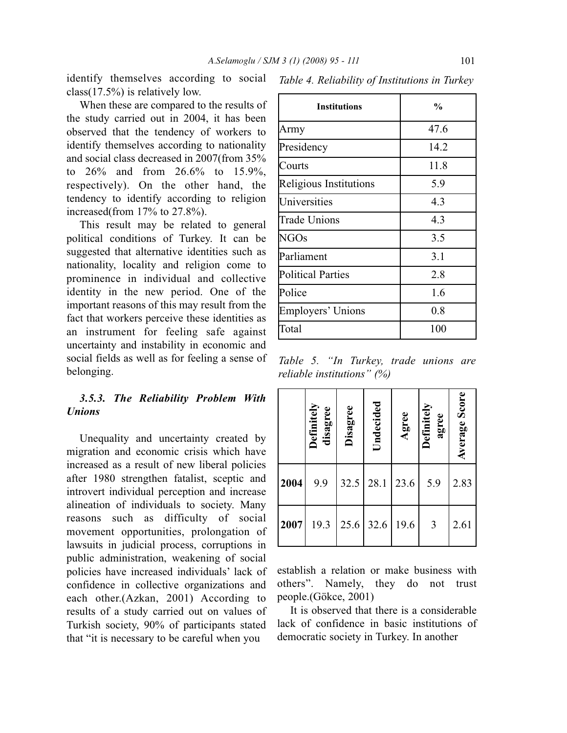identify themselves according to social class(17.5%) is relatively low.

When these are compared to the results of the study carried out in 2004, it has been observed that the tendency of workers to identify themselves according to nationality and social class decreased in 2007(from 35% to 26% and from 26.6% to 15.9%, respectively). On the other hand, the tendency to identify according to religion increased(from 17% to 27.8%).

This result may be related to general political conditions of Turkey. It can be suggested that alternative identities such as nationality, locality and religion come to prominence in individual and collective identity in the new period. One of the important reasons of this may result from the fact that workers perceive these identities as an instrument for feeling safe against uncertainty and instability in economic and social fields as well as for feeling a sense of belonging.

### *3.5.3. The Reliability Problem With Unions*

Unequality and uncertainty created by migration and economic crisis which have increased as a result of new liberal policies after 1980 strengthen fatalist, sceptic and introvert individual perception and increase alineation of individuals to society. Many reasons such as difficulty of social movement opportunities, prolongation of lawsuits in judicial process, corruptions in public administration, weakening of social policies have increased individuals' lack of confidence in collective organizations and each other.(Azkan, 2001) According to results of a study carried out on values of Turkish society, 90% of participants stated that "it is necessary to be careful when you

| <b>Institutions</b>      | $\frac{0}{0}$ |
|--------------------------|---------------|
| Army                     | 47.6          |
| Presidency               | 14.2          |
| Courts                   | 11.8          |
| Religious Institutions   | 5.9           |
| Universities             | 4.3           |
| <b>Trade Unions</b>      | 4.3           |
| NGOs                     | 3.5           |
| Parliament               | 3.1           |
| <b>Political Parties</b> | 2.8           |
| Police                   | 1.6           |
| Employers' Unions        | $0.8\,$       |
| Total                    | 100           |

*Table 4. Reliability of Institutions in Turkey*

*Table 5. "In Turkey, trade unions are reliable institutions" (%)*

|      | Definitely<br>disagree | Disagree | Undecided | Agree | Definitely<br>agree | Average Score |
|------|------------------------|----------|-----------|-------|---------------------|---------------|
| 2004 | 9.9                    | 32.5     | 28.1      | 23.6  | 5.9                 | 2.83          |
| 2007 | 19.3                   | 25.6     | 32.6      | 19.6  | 3                   | 2.61          |

establish a relation or make business with others". Namely, they do not trust people.(Gökce, 2001)

It is observed that there is a considerable lack of confidence in basic institutions of democratic society in Turkey. In another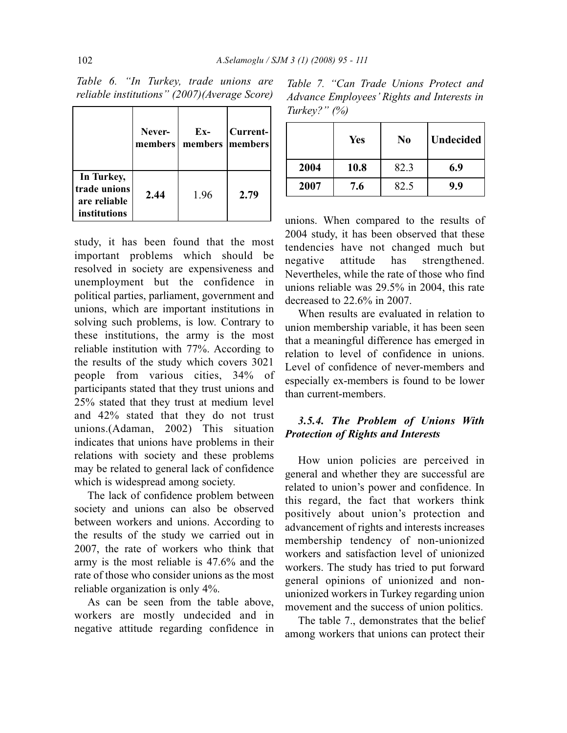|                                                            | Never-<br>members | $Ex-$<br>members members | Current- |
|------------------------------------------------------------|-------------------|--------------------------|----------|
| In Turkey,<br>trade unions<br>are reliable<br>institutions | 2.44              | 1.96                     | 2.79     |

*Table 6. "In Turkey, trade unions are reliable institutions" (2007)(Average Score)*

study, it has been found that the most important problems which should be resolved in society are expensiveness and unemployment but the confidence in political parties, parliament, government and unions, which are important institutions in solving such problems, is low. Contrary to these institutions, the army is the most reliable institution with 77%. According to the results of the study which covers 3021 people from various cities, 34% of participants stated that they trust unions and 25% stated that they trust at medium level and 42% stated that they do not trust unions.(Adaman, 2002) This situation indicates that unions have problems in their relations with society and these problems may be related to general lack of confidence which is widespread among society.

The lack of confidence problem between society and unions can also be observed between workers and unions. According to the results of the study we carried out in 2007, the rate of workers who think that army is the most reliable is 47.6% and the rate of those who consider unions as the most reliable organization is only 4%.

As can be seen from the table above, workers are mostly undecided and in negative attitude regarding confidence in

*Table 7. "Can Trade Unions Protect and Advance Employees' Rights and Interests in Turkey?" (%)*

|      | <b>Yes</b> | N <sub>0</sub> | Undecided |
|------|------------|----------------|-----------|
| 2004 | 10.8       | 82.3           | 6.9       |
| 2007 | 7.6        | 82.5           | 9.9       |

unions. When compared to the results of 2004 study, it has been observed that these tendencies have not changed much but negative attitude has strengthened. Nevertheles, while the rate of those who find unions reliable was 29.5% in 2004, this rate decreased to 22.6% in 2007.

When results are evaluated in relation to union membership variable, it has been seen that a meaningful difference has emerged in relation to level of confidence in unions. Level of confidence of never-members and especially ex-members is found to be lower than current-members.

# *3.5.4. The Problem of Unions With Protection of Rights and Interests*

How union policies are perceived in general and whether they are successful are related to union's power and confidence. In this regard, the fact that workers think positively about union's protection and advancement of rights and interests increases membership tendency of non-unionized workers and satisfaction level of unionized workers. The study has tried to put forward general opinions of unionized and nonunionized workers in Turkey regarding union movement and the success of union politics.

The table 7., demonstrates that the belief among workers that unions can protect their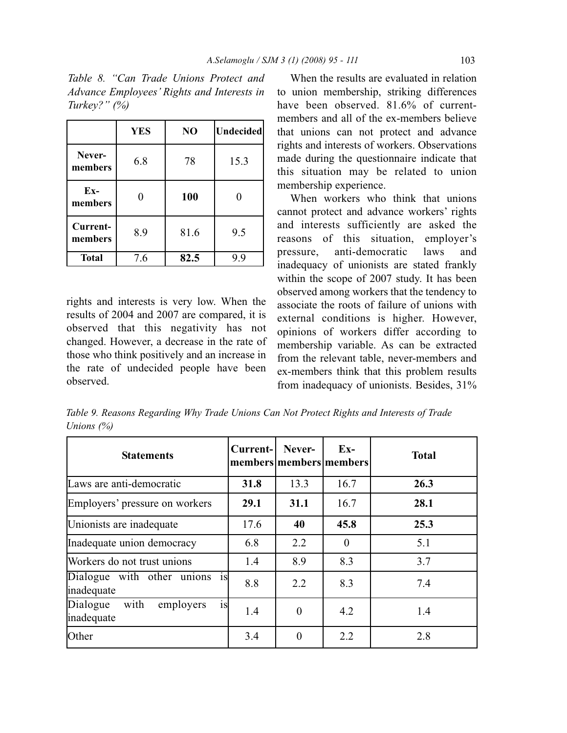|                     | <b>YES</b> | NO   | <b>Undecided</b> |
|---------------------|------------|------|------------------|
| Never-<br>members   | 6.8        | 78   | 15.3             |
| $Ex-$<br>members    |            | 100  |                  |
| Current-<br>members | 8.9        | 81.6 | 9.5              |
| <b>Total</b>        | 7.6        | 82.5 | 9.9              |

*Table 8. "Can Trade Unions Protect and Advance Employees' Rights and Interests in Turkey?" (%)*

rights and interests is very low. When the results of 2004 and 2007 are compared, it is observed that this negativity has not changed. However, a decrease in the rate of those who think positively and an increase in the rate of undecided people have been observed.

When the results are evaluated in relation to union membership, striking differences have been observed. 81.6% of currentmembers and all of the ex-members believe that unions can not protect and advance rights and interests of workers. Observations made during the questionnaire indicate that this situation may be related to union membership experience.

When workers who think that unions cannot protect and advance workers' rights and interests sufficiently are asked the reasons of this situation, employer's pressure, anti-democratic laws and inadequacy of unionists are stated frankly within the scope of 2007 study. It has been observed among workers that the tendency to associate the roots of failure of unions with external conditions is higher. However, opinions of workers differ according to membership variable. As can be extracted from the relevant table, never-members and ex-members think that this problem results from inadequacy of unionists. Besides, 31%

*Table 9. Reasons Regarding Why Trade Unions Can Not Protect Rights and Interests of Trade Unions (%)*

| <b>Statements</b>                                 | Current- | Never-<br>members members members | $Ex-$    | <b>Total</b> |
|---------------------------------------------------|----------|-----------------------------------|----------|--------------|
| Laws are anti-democratic                          | 31.8     | 13.3                              | 16.7     | 26.3         |
| Employers' pressure on workers                    | 29.1     | 31.1                              | 16.7     | 28.1         |
| Unionists are inadequate                          | 17.6     | 40                                | 45.8     | 25.3         |
| Inadequate union democracy                        | 6.8      | 2.2                               | $\Omega$ | 5.1          |
| Workers do not trust unions                       | 1.4      | 8.9                               | 8.3      | 3.7          |
| Dialogue with other unions is<br>inadequate       | 8.8      | 2.2                               | 8.3      | 7.4          |
| is<br>Dialogue<br>with<br>employers<br>inadequate | 1.4      | $\theta$                          | 4.2      | 1.4          |
| Other                                             | 3.4      | $\theta$                          | 2.2      | 2.8          |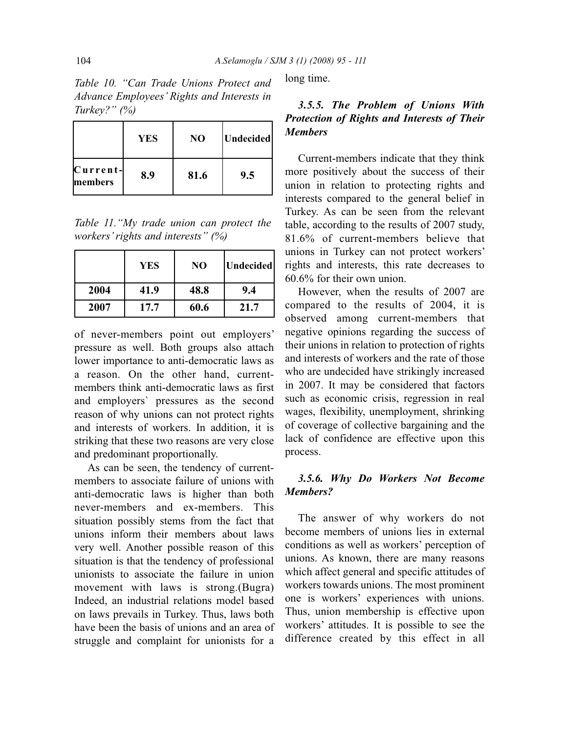*Table 10. "Can Trade Unions Protect and Advance Employees' Rights and Interests in Turkey?" (%)*

|                        | <b>YES</b> | N <sub>O</sub> | Undecided |
|------------------------|------------|----------------|-----------|
| $C$ urrent-<br>members | 8.9        | 81.6           | 9.5       |

*Table 11."My trade union can protect the workers' rights and interests" (%)*

|      | <b>YES</b> | NO   | Undecided |
|------|------------|------|-----------|
| 2004 | 41.9       | 48.8 | 9.4       |
| 2007 | 17.7       | 60.6 | 21.7      |

of never-members point out employers' pressure as well. Both groups also attach lower importance to anti-democratic laws as a reason. On the other hand, currentmembers think anti-democratic laws as first and employers` pressures as the second reason of why unions can not protect rights and interests of workers. In addition, it is striking that these two reasons are very close and predominant proportionally.

As can be seen, the tendency of currentmembers to associate failure of unions with anti-democratic laws is higher than both never-members and ex-members. This situation possibly stems from the fact that unions inform their members about laws very well. Another possible reason of this situation is that the tendency of professional unionists to associate the failure in union movement with laws is strong.(Bugra) Indeed, an industrial relations model based on laws prevails in Turkey. Thus, laws both have been the basis of unions and an area of struggle and complaint for unionists for a long time.

## *3.5.5. The Problem of Unions With Protection of Rights and Interests of Their Members*

Current-members indicate that they think more positively about the success of their union in relation to protecting rights and interests compared to the general belief in Turkey. As can be seen from the relevant table, according to the results of 2007 study, 81.6% of current-members believe that unions in Turkey can not protect workers' rights and interests, this rate decreases to 60.6% for their own union.

However, when the results of 2007 are compared to the results of 2004, it is observed among current-members that negative opinions regarding the success of their unions in relation to protection of rights and interests of workers and the rate of those who are undecided have strikingly increased in 2007. It may be considered that factors such as economic crisis, regression in real wages, flexibility, unemployment, shrinking of coverage of collective bargaining and the lack of confidence are effective upon this process.

### *3.5.6. Why Do Workers Not Become Members?*

The answer of why workers do not become members of unions lies in external conditions as well as workers' perception of unions. As known, there are many reasons which affect general and specific attitudes of workers towards unions. The most prominent one is workers' experiences with unions. Thus, union membership is effective upon workers' attitudes. It is possible to see the difference created by this effect in all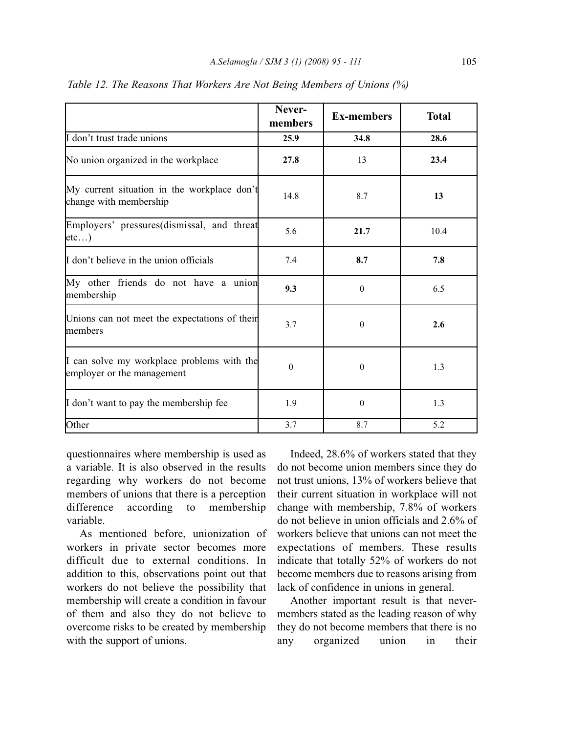|                                                                          | Never-<br>members | <b>Ex-members</b> | <b>Total</b> |
|--------------------------------------------------------------------------|-------------------|-------------------|--------------|
| I don't trust trade unions                                               | 25.9              | 34.8              | 28.6         |
| No union organized in the workplace                                      | 27.8              | 13                | 23.4         |
| My current situation in the workplace don't<br>change with membership    | 14.8              | 8.7               | 13           |
| Employers' pressures (dismissal, and threat<br>etc)                      | 5.6               | 21.7              | 10.4         |
| I don't believe in the union officials                                   | 7.4               | 8.7               | 7.8          |
| My other friends do not have a union<br>membership                       | 9.3               | $\theta$          | 6.5          |
| Unions can not meet the expectations of their<br>members                 | 3.7               | $\mathbf{0}$      | 2.6          |
| I can solve my workplace problems with the<br>employer or the management | $\Omega$          | $\mathbf{0}$      | 1.3          |
| I don't want to pay the membership fee                                   | 1.9               | $\theta$          | 1.3          |
| Other                                                                    | 3.7               | 8.7               | 5.2          |

*Table 12. The Reasons That Workers Are Not Being Members of Unions (%)*

questionnaires where membership is used as a variable. It is also observed in the results regarding why workers do not become members of unions that there is a perception difference according to membership variable.

As mentioned before, unionization of workers in private sector becomes more difficult due to external conditions. In addition to this, observations point out that workers do not believe the possibility that membership will create a condition in favour of them and also they do not believe to overcome risks to be created by membership with the support of unions.

Indeed, 28.6% of workers stated that they do not become union members since they do not trust unions, 13% of workers believe that their current situation in workplace will not change with membership, 7.8% of workers do not believe in union officials and 2.6% of workers believe that unions can not meet the expectations of members. These results indicate that totally 52% of workers do not become members due to reasons arising from lack of confidence in unions in general.

Another important result is that nevermembers stated as the leading reason of why they do not become members that there is no any organized union in their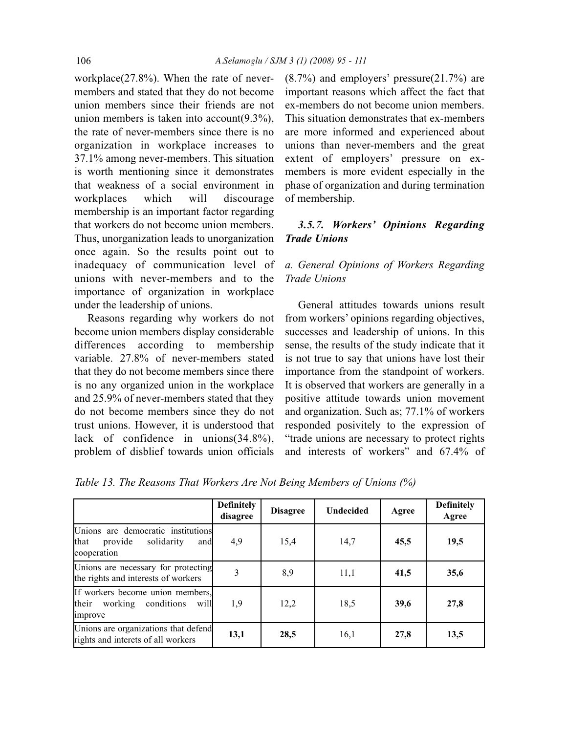workplace(27.8%). When the rate of nevermembers and stated that they do not become union members since their friends are not union members is taken into account(9.3%), the rate of never-members since there is no organization in workplace increases to 37.1% among never-members. This situation is worth mentioning since it demonstrates that weakness of a social environment in workplaces which will discourage membership is an important factor regarding that workers do not become union members. Thus, unorganization leads to unorganization once again. So the results point out to inadequacy of communication level of unions with never-members and to the importance of organization in workplace under the leadership of unions.

Reasons regarding why workers do not become union members display considerable differences according to membership variable. 27.8% of never-members stated that they do not become members since there is no any organized union in the workplace and 25.9% of never-members stated that they do not become members since they do not trust unions. However, it is understood that lack of confidence in unions(34.8%), problem of disblief towards union officials (8.7%) and employers' pressure(21.7%) are important reasons which affect the fact that ex-members do not become union members. This situation demonstrates that ex-members are more informed and experienced about unions than never-members and the great extent of employers' pressure on exmembers is more evident especially in the phase of organization and during termination of membership.

# *3.5.7. Workers' Opinions Regarding Trade Unions*

# *a. General Opinions of Workers Regarding Trade Unions*

General attitudes towards unions result from workers' opinions regarding objectives, successes and leadership of unions. In this sense, the results of the study indicate that it is not true to say that unions have lost their importance from the standpoint of workers. It is observed that workers are generally in a positive attitude towards union movement and organization. Such as; 77.1% of workers responded posivitely to the expression of "trade unions are necessary to protect rights and interests of workers" and 67.4% of

*Table 13. The Reasons That Workers Are Not Being Members of Unions (%)*

|                                                                                                  | <b>Definitely</b><br>disagree | <b>Disagree</b> | <b>Undecided</b> | Agree | <b>Definitely</b><br>Agree |
|--------------------------------------------------------------------------------------------------|-------------------------------|-----------------|------------------|-------|----------------------------|
| Unions are democratic institutions<br><b>that</b><br>provide<br>solidarity<br>and<br>cooperation | 4,9                           | 15,4            | 14,7             | 45,5  | 19,5                       |
| Unions are necessary for protecting<br>the rights and interests of workers                       | 3                             | 8,9             | 11,1             | 41,5  | 35,6                       |
| If workers become union members,<br>their<br>will<br>working conditions<br>improve               | 1,9                           | 12,2            | 18,5             | 39,6  | 27,8                       |
| Unions are organizations that defend<br>rights and interets of all workers                       | 13,1                          | 28,5            | 16,1             | 27,8  | 13,5                       |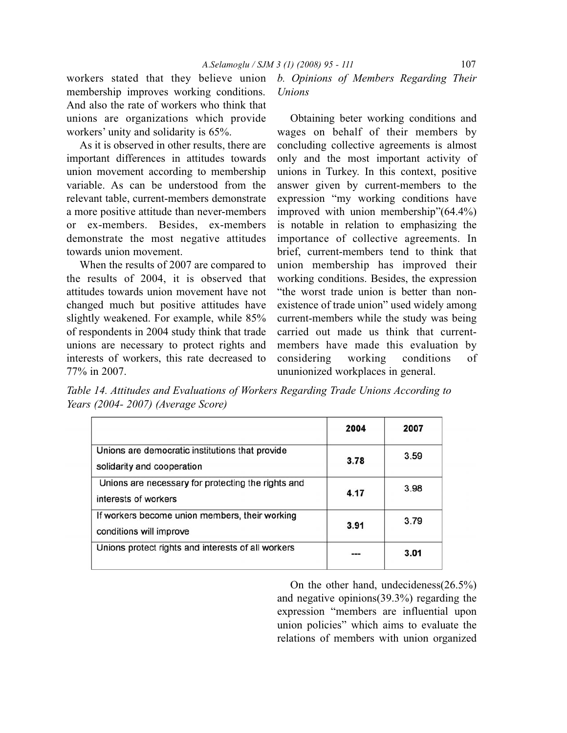workers stated that they believe union membership improves working conditions. And also the rate of workers who think that unions are organizations which provide workers' unity and solidarity is 65%.

As it is observed in other results, there are important differences in attitudes towards union movement according to membership variable. As can be understood from the relevant table, current-members demonstrate a more positive attitude than never-members or ex-members. Besides, ex-members demonstrate the most negative attitudes towards union movement.

When the results of 2007 are compared to the results of 2004, it is observed that attitudes towards union movement have not changed much but positive attitudes have slightly weakened. For example, while 85% of respondents in 2004 study think that trade unions are necessary to protect rights and interests of workers, this rate decreased to 77% in 2007.

*b. Opinions of Members Regarding Their Unions*

Obtaining beter working conditions and wages on behalf of their members by concluding collective agreements is almost only and the most important activity of unions in Turkey. In this context, positive answer given by current-members to the expression "my working conditions have improved with union membership"(64.4%) is notable in relation to emphasizing the importance of collective agreements. In brief, current-members tend to think that union membership has improved their working conditions. Besides, the expression "the worst trade union is better than nonexistence of trade union" used widely among current-members while the study was being carried out made us think that currentmembers have made this evaluation by considering working conditions of ununionized workplaces in general.

*Table 14. Attitudes and Evaluations of Workers Regarding Trade Unions According to Years (2004- 2007) (Average Score)*

|                                                                               | 2004 | 2007 |
|-------------------------------------------------------------------------------|------|------|
| Unions are democratic institutions that provide<br>solidarity and cooperation | 3.78 | 3.59 |
| Unions are necessary for protecting the rights and<br>interests of workers    | 4.17 | 3.98 |
| If workers become union members, their working<br>conditions will improve     | 3.91 | 3.79 |
| Unions protect rights and interests of all workers                            |      | 3.01 |

On the other hand, undecideness(26.5%) and negative opinions(39.3%) regarding the expression "members are influential upon union policies" which aims to evaluate the relations of members with union organized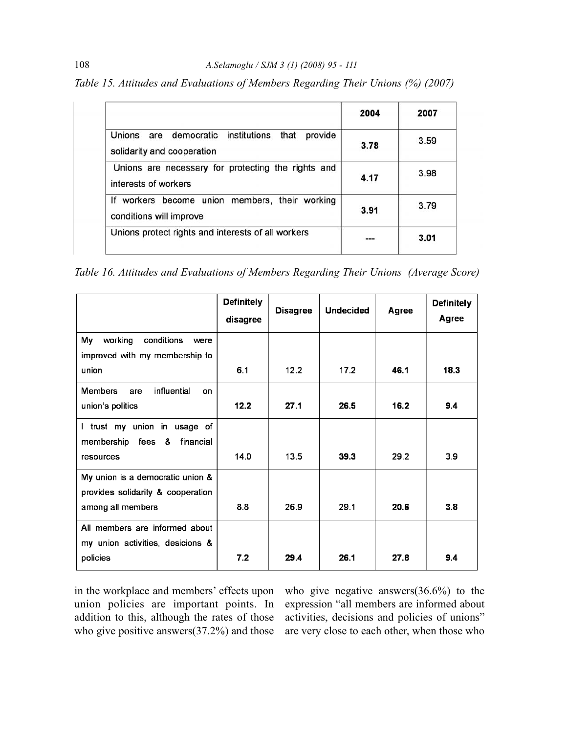*Table 15. Attitudes and Evaluations of Members Regarding Their Unions (%) (2007)*

|                                                                                  | 2004 | 2007 |
|----------------------------------------------------------------------------------|------|------|
| Unions are democratic institutions that<br>provide<br>solidarity and cooperation | 3.78 | 3.59 |
| Unions are necessary for protecting the rights and<br>interests of workers       | 4.17 | 3.98 |
| If workers become union members, their working<br>conditions will improve        | 3.91 | 3.79 |
| Unions protect rights and interests of all workers                               |      | 3.01 |

*Table 16. Attitudes and Evaluations of Members Regarding Their Unions (Average Score)*

|                                                                       | <b>Definitely</b><br>disagree | <b>Disagree</b> | <b>Undecided</b> | Agree | <b>Definitely</b><br>Agree |
|-----------------------------------------------------------------------|-------------------------------|-----------------|------------------|-------|----------------------------|
| working<br>My<br>conditions<br>were<br>improved with my membership to |                               |                 |                  |       |                            |
| union                                                                 | 6.1                           | 12.2            | 17.2             | 46.1  | 18.3                       |
| influential<br><b>Members</b><br>are<br>on<br>union's politics        | 12.2                          | 27.1            | 26.5             | 16.2  | 9.4                        |
| I trust my union in usage of<br>membership fees &<br>financial        |                               |                 |                  |       |                            |
| resources                                                             | 14.0                          | 13.5            | 39.3             | 29.2  | 3.9                        |
| My union is a democratic union &<br>provides solidarity & cooperation |                               |                 |                  |       |                            |
| among all members                                                     | 8.8                           | 26.9            | 29.1             | 20.6  | 3.8                        |
| All members are informed about<br>my union activities, desicions &    |                               |                 |                  |       |                            |
| policies                                                              | 7.2                           | 29.4            | 26.1             | 27.8  | 9.4                        |

in the workplace and members' effects upon union policies are important points. In addition to this, although the rates of those who give positive answers(37.2%) and those

who give negative answers(36.6%) to the expression "all members are informed about activities, decisions and policies of unions" are very close to each other, when those who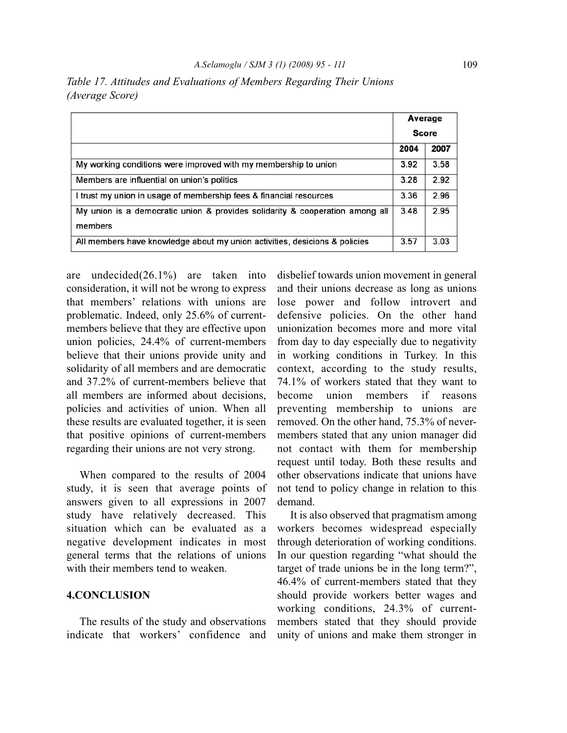|                                                                                         | Average      |      |  |
|-----------------------------------------------------------------------------------------|--------------|------|--|
|                                                                                         | <b>Score</b> |      |  |
|                                                                                         | 2004         | 2007 |  |
| My working conditions were improved with my membership to union                         | 3.92         | 3.58 |  |
| Members are influential on union's politics                                             | 3.28         | 2.92 |  |
| I trust my union in usage of membership fees & financial resources                      | 3.36         | 2.96 |  |
| My union is a democratic union & provides solidarity & cooperation among all<br>members | 3.48         | 2.95 |  |
| All members have knowledge about my union activities, desicions & policies              | 3.57         | 3.03 |  |

*Table 17. Attitudes and Evaluations of Members Regarding Their Unions (Average Score)*

are undecided(26.1%) are taken into consideration, it will not be wrong to express that members' relations with unions are problematic. Indeed, only 25.6% of currentmembers believe that they are effective upon union policies, 24.4% of current-members believe that their unions provide unity and solidarity of all members and are democratic and 37.2% of current-members believe that all members are informed about decisions, policies and activities of union. When all these results are evaluated together, it is seen that positive opinions of current-members regarding their unions are not very strong.

When compared to the results of 2004 study, it is seen that average points of answers given to all expressions in 2007 study have relatively decreased. This situation which can be evaluated as a negative development indicates in most general terms that the relations of unions with their members tend to weaken.

#### **4.CONCLUSION**

The results of the study and observations indicate that workers' confidence and

disbelief towards union movement in general and their unions decrease as long as unions lose power and follow introvert and defensive policies. On the other hand unionization becomes more and more vital from day to day especially due to negativity in working conditions in Turkey. In this context, according to the study results, 74.1% of workers stated that they want to become union members if reasons preventing membership to unions are removed. On the other hand, 75.3% of nevermembers stated that any union manager did not contact with them for membership request until today. Both these results and other observations indicate that unions have not tend to policy change in relation to this demand.

It is also observed that pragmatism among workers becomes widespread especially through deterioration of working conditions. In our question regarding "what should the target of trade unions be in the long term?", 46.4% of current-members stated that they should provide workers better wages and working conditions, 24.3% of currentmembers stated that they should provide unity of unions and make them stronger in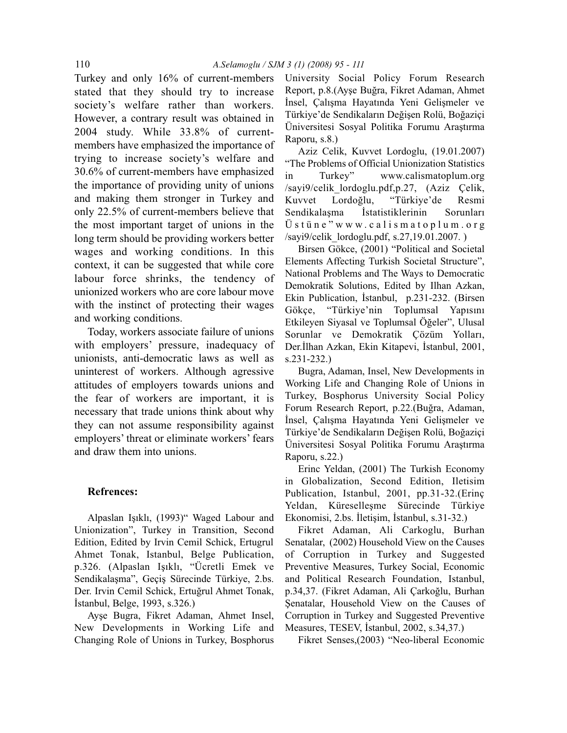Turkey and only 16% of current-members stated that they should try to increase society's welfare rather than workers. However, a contrary result was obtained in 2004 study. While 33.8% of currentmembers have emphasized the importance of trying to increase society's welfare and 30.6% of current-members have emphasized the importance of providing unity of unions and making them stronger in Turkey and only 22.5% of current-members believe that the most important target of unions in the long term should be providing workers better wages and working conditions. In this context, it can be suggested that while core labour force shrinks, the tendency of unionized workers who are core labour move with the instinct of protecting their wages and working conditions.

Today, workers associate failure of unions with employers' pressure, inadequacy of unionists, anti-democratic laws as well as uninterest of workers. Although agressive attitudes of employers towards unions and the fear of workers are important, it is necessary that trade unions think about why they can not assume responsibility against employers' threat or eliminate workers' fears and draw them into unions.

#### **Refrences:**

Alpaslan Işıklı, (1993)" Waged Labour and Unionization", Turkey in Transition, Second Edition, Edited by Irvin Cemil Schick, Ertugrul Ahmet Tonak, Istanbul, Belge Publication, p.326. (Alpaslan Işıklı, "Ücretli Emek ve Sendikalaşma", Geçiş Sürecinde Türkiye, 2.bs. Der. Irvin Cemil Schick, Ertuğrul Ahmet Tonak, İstanbul, Belge, 1993, s.326.)

Ayşe Bugra, Fikret Adaman, Ahmet Insel, New Developments in Working Life and Changing Role of Unions in Turkey, Bosphorus University Social Policy Forum Research Report, p.8.(Ayşe Buğra, Fikret Adaman, Ahmet İnsel, Çalışma Hayatında Yeni Gelişmeler ve Türkiye'de Sendikaların Değişen Rolü, Boğaziçi Üniversitesi Sosyal Politika Forumu Araştırma Raporu, s.8.)

Aziz Celik, Kuvvet Lordoglu, (19.01.2007) "The Problems of Official Unionization Statistics in Turkey" www.calismatoplum.org /sayi9/celik\_lordoglu.pdf,p.27, (Aziz Çelik, Kuvvet Lordoğlu, "Türkiye'de Resmi Sendikalaşma İstatistiklerinin Sorunları Üstüne"www.calismatoplum.org /sayi9/celik\_lordoglu.pdf, s.27,19.01.2007. )

Birsen Gökce, (2001) "Political and Societal Elements Affecting Turkish Societal Structure", National Problems and The Ways to Democratic Demokratik Solutions, Edited by Ilhan Azkan, Ekin Publication, İstanbul, p.231-232. (Birsen Gökçe, "Türkiye'nin Toplumsal Yapısını Etkileyen Siyasal ve Toplumsal Öğeler", Ulusal Sorunlar ve Demokratik Çözüm Yolları, Der.İlhan Azkan, Ekin Kitapevi, İstanbul, 2001, s.231-232.)

Bugra, Adaman, Insel, New Developments in Working Life and Changing Role of Unions in Turkey, Bosphorus University Social Policy Forum Research Report, p.22.(Buğra, Adaman, İnsel, Çalışma Hayatında Yeni Gelişmeler ve Türkiye'de Sendikaların Değişen Rolü, Boğaziçi Üniversitesi Sosyal Politika Forumu Araştırma Raporu, s.22.)

Erinc Yeldan, (2001) The Turkish Economy in Globalization, Second Edition, Iletisim Publication, Istanbul, 2001, pp.31-32.(Erinç Yeldan, Küreselleşme Sürecinde Türkiye Ekonomisi, 2.bs. İletişim, İstanbul, s.31-32.)

Fikret Adaman, Ali Carkoglu, Burhan Senatalar, (2002) Household View on the Causes of Corruption in Turkey and Suggested Preventive Measures, Turkey Social, Economic and Political Research Foundation, Istanbul, p.34,37. (Fikret Adaman, Ali Çarkoğlu, Burhan Şenatalar, Household View on the Causes of Corruption in Turkey and Suggested Preventive Measures, TESEV, İstanbul, 2002, s.34,37.)

Fikret Senses,(2003) "Neo-liberal Economic